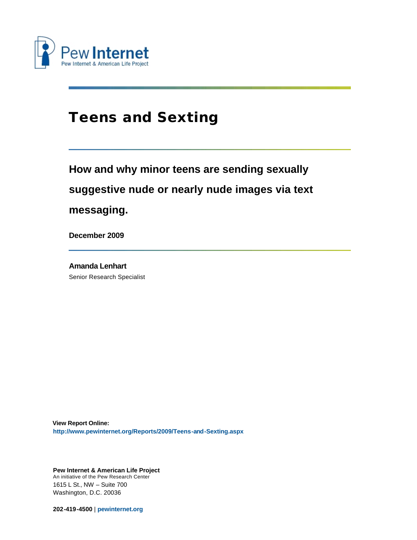

# **Teens and Sexting**

# **How and why minor teens are sending sexually suggestive nude or nearly nude images via text messaging.**

**December 2009**

**Amanda Lenhart** Senior Research Specialist

**View Report Online: <http://www.pewinternet.org/Reports/2009/Teens-and-Sexting.aspx>**

**Pew Internet & American Life Project** An initiative of the Pew Research Center 1615 L St., NW – Suite 700 Washington, D.C. 20036

**202-419-4500** | **[pewinternet.org](http://pewinternet.org/)**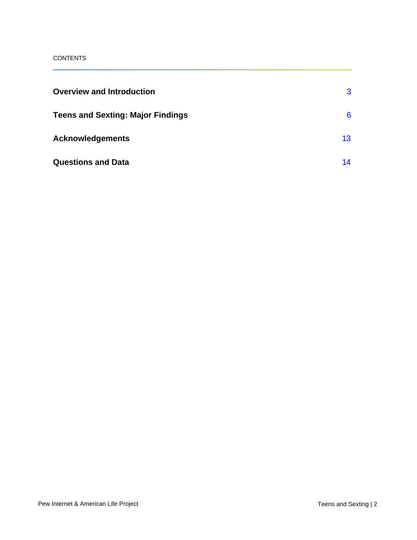#### **CONTENTS**

| <b>Overview and Introduction</b>         | 3               |
|------------------------------------------|-----------------|
| <b>Teens and Sexting: Major Findings</b> | 6               |
| <b>Acknowledgements</b>                  | 13 <sup>°</sup> |
| <b>Questions and Data</b>                | 14              |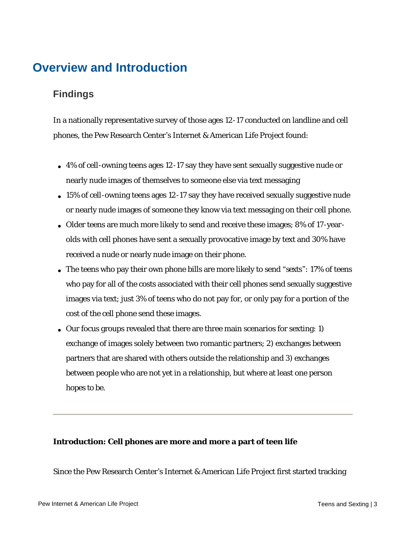## <span id="page-2-0"></span>**Overview and Introduction**

### **Findings**

In a nationally representative survey of those ages 12-17 conducted on landline and cell phones, the Pew Research Center's Internet & American Life Project found:

- $\bullet$  4% of cell-owning teens ages 12-17 say they have sent sexually suggestive nude or nearly nude images of themselves to someone else via text messaging
- 15% of cell-owning teens ages 12-17 say they have received sexually suggestive nude or nearly nude images of someone they know via text messaging on their cell phone.
- Older teens are much more likely to send and receive these images; 8% of 17-yearolds with cell phones have sent a sexually provocative image by text and 30% have received a nude or nearly nude image on their phone.
- The teens who pay their own phone bills are more likely to send "sexts": 17% of teens who pay for all of the costs associated with their cell phones send sexually suggestive images via text; just 3% of teens who do not pay for, or only pay for a portion of the cost of the cell phone send these images.
- Our focus groups revealed that there are three main scenarios for sexting: 1) exchange of images solely between two romantic partners; 2) exchanges between partners that are shared with others outside the relationship and 3) exchanges between people who are not yet in a relationship, but where at least one person hopes to be.

#### **Introduction: Cell phones are more and more a part of teen life**

Since the Pew Research Center's Internet & American Life Project first started tracking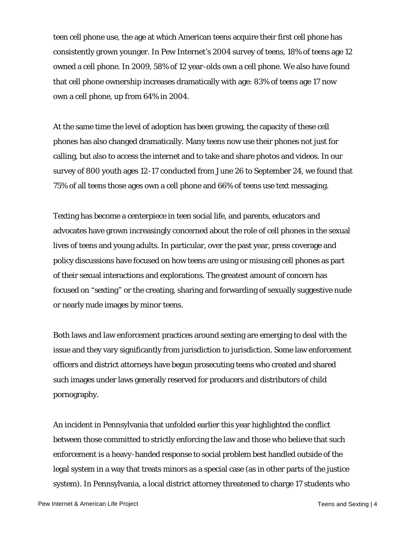teen cell phone use, the age at which American teens acquire their first cell phone has consistently grown younger. In Pew Internet's 2004 survey of teens, 18% of teens age 12 owned a cell phone. In 2009, 58% of 12 year-olds own a cell phone. We also have found that cell phone ownership increases dramatically with age: 83% of teens age 17 now own a cell phone, up from 64% in 2004.

At the same time the level of adoption has been growing, the capacity of these cell phones has also changed dramatically. Many teens now use their phones not just for calling, but also to access the internet and to take and share photos and videos. In our survey of 800 youth ages 12-17 conducted from June 26 to September 24, we found that 75% of all teens those ages own a cell phone and 66% of teens use text messaging.

Texting has become a centerpiece in teen social life, and parents, educators and advocates have grown increasingly concerned about the role of cell phones in the sexual lives of teens and young adults. In particular, over the past year, press coverage and policy discussions have focused on how teens are using or misusing cell phones as part of their sexual interactions and explorations. The greatest amount of concern has focused on "sexting" or the creating, sharing and forwarding of sexually suggestive nude or nearly nude images by minor teens.

Both laws and law enforcement practices around sexting are emerging to deal with the issue and they vary significantly from jurisdiction to jurisdiction. Some law enforcement officers and district attorneys have begun prosecuting teens who created and shared such images under laws generally reserved for producers and distributors of child pornography.

An incident in Pennsylvania that unfolded earlier this year highlighted the conflict between those committed to strictly enforcing the law and those who believe that such enforcement is a heavy-handed response to social problem best handled outside of the legal system in a way that treats minors as a special case (as in other parts of the justice system). In Pennsylvania, a local district attorney threatened to charge 17 students who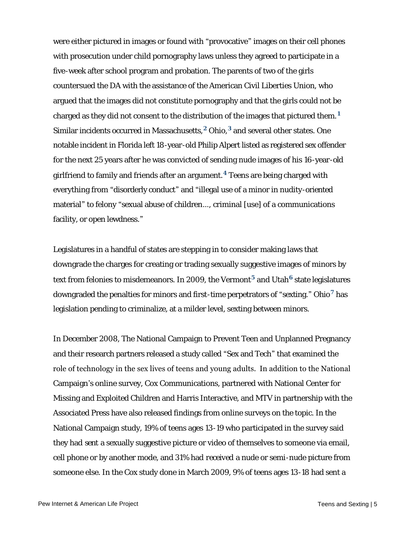were either pictured in images or found with "provocative" images on their cell phones with prosecution under child pornography laws unless they agreed to participate in a five-week after school program and probation. The parents of two of the girls countersued the DA with the assistance of the American Civil Liberties Union, who argued that the images did not constitute pornography and that the girls could not be charged as they did not consent to the distribution of the images that pictured them.**[1](#page-5-0)** Similar incidents occurred in Massachusetts,**[2](#page-5-1)** Ohio,**[3](#page-5-2)** and several other states. One notable incident in Florida left 18-year-old Philip Alpert listed as registered sex offender for the next 25 years after he was convicted of sending nude images of his 16-year-old girlfriend to family and friends after an argument.**[4](#page-5-3)** Teens are being charged with everything from "disorderly conduct" and "illegal use of a minor in nudity-oriented material" to felony "sexual abuse of children…, criminal [use] of a communications facility, or open lewdness."

Legislatures in a handful of states are stepping in to consider making laws that downgrade the charges for creating or trading sexually suggestive images of minors by text from felonies to misdemeanors. In 2009, the Vermont<sup>[5](#page-5-4)</sup> and Utah<sup>[6](#page-5-5)</sup> state legislatures downgraded the penalties for minors and first-time perpetrators of "sexting." Ohio**[7](#page-5-6)** has legislation pending to criminalize, at a milder level, sexting between minors.

In December 2008, The National Campaign to Prevent Teen and Unplanned Pregnancy and their research partners released a study called "Sex and Tech" that examined the role of technology in the sex lives of teens and young adults. In addition to the National Campaign's online survey, Cox Communications, partnered with National Center for Missing and Exploited Children and Harris Interactive, and MTV in partnership with the Associated Press have also released findings from online surveys on the topic. In the National Campaign study, 19% of teens ages 13-19 who participated in the survey said they had *sent* a sexually suggestive picture or video of themselves to someone via email, cell phone or by another mode, and 31% had *received* a nude or semi-nude picture from someone else. In the Cox study done in March 2009, 9% of teens ages 13-18 had sent a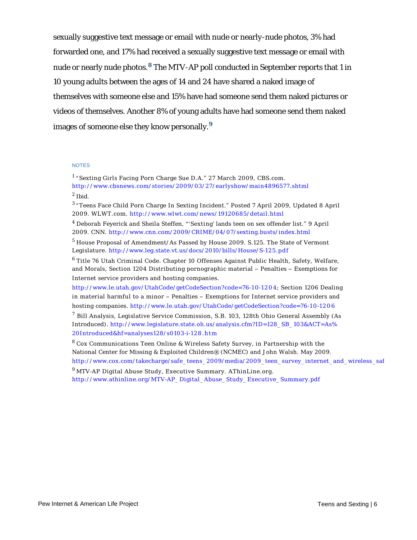sexually suggestive text message or email with nude or nearly-nude photos, 3% had forwarded one, and 17% had received a sexually suggestive text message or email with nude or nearly nude photos.**[8](#page-5-7)** The MTV-AP poll conducted in September reports that 1 in 10 young adults between the ages of 14 and 24 have shared a naked image of themselves with someone else and 15% have had someone send them naked pictures or videos of themselves. Another 8% of young adults have had someone send them naked images of someone else they know personally.**[9](#page-5-8)**

#### **NOTES**

<span id="page-5-0"></span><sup>1</sup> "Sexting Girls Facing Porn Charge Sue D.A." 27 March 2009, CBS.com. <http://www.cbsnews.com/stories/2009/03/27/earlyshow/main4896577.shtml>  $<sup>2</sup>$  Ibid.</sup>

<span id="page-5-2"></span><span id="page-5-1"></span><sup>3</sup> "Teens Face Child Porn Charge In Sexting Incident." Posted 7 April 2009, Updated 8 April 2009. WLWT.com. <http://www.wlwt.com/news/19120685/detail.html>

<span id="page-5-3"></span> $^4$  Deborah Feyerick and Sheila Steffen, "'Sexting' lands teen on sex offender list." 9 April 2009. CNN. <http://www.cnn.com/2009/CRIME/04/07/sexting.busts/index.html>

<span id="page-5-4"></span>5 House Proposal of Amendment/As Passed by House 2009. S.125. The State of Vermont Legislature. <http://www.leg.state.vt.us/docs/2010/bills/House/S-125.pdf>

<span id="page-5-5"></span> $^6$ Title 76 Utah Criminal Code. Chapter 10 Offenses Against Public Health, Safety, Welfare, and Morals, Section 1204 Distributing pornographic material - Penalties -- Exemptions for Internet service providers and hosting companies.

[http://www.le.utah.gov/UtahCode/getCodeSection?code=76-1 0-1204](http://www.le.utah.gov/UtahCode/getCodeSection?code=76-10-1204); Section 1206 Dealing in material harmful to a minor - Penalties - Exemptions for Internet service providers and hosting companies. [http://www.le.utah.gov/UtahCode/getCodeSection?code=76-1 0-1206](http://www.le.utah.gov/UtahCode/getCodeSection?code=76-10-1206)

<span id="page-5-6"></span> $^7$  Bill Analysis, Legislative Service Commission, S.B. 103, 128th Ohio General Assembly (As [Introduced\). http://www.legislature.state.oh.us/analysis.cfm?ID=128\\_SB\\_103&ACT=As%](http://www.legislature.state.oh.us/analysis.cfm?ID=128_SB_103&ACT=As%20Introduced&hf=analyses128/s0103-i-128.htm) 20Introduced&hf=analyses128/s0103-i-128.htm

<span id="page-5-7"></span> $^8$  Cox Communications Teen Online & Wireless Safety Survey, in Partnership with the National Center for Missing & Exploited Children® (NCMEC) and John Walsh. May 2009. http://www.cox.com/takecharge/safe\_teens\_2009/media/2009\_teen\_survey\_internet\_and\_wireless\_saf

<span id="page-5-8"></span><sup>9</sup> MTV-AP Digital Abuse Study, Executive Summary. AThinLine.org. [http://www.athinline.org/MTV-AP\\_Digital\\_Abuse\\_Study\\_Executive\\_Summary.pdf](http://www.athinline.org/MTV-AP_Digital_Abuse_Study_Executive_Summary.pdf)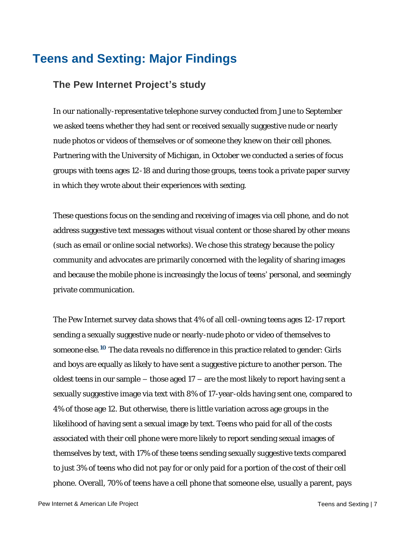## <span id="page-6-0"></span>**Teens and Sexting: Major Findings**

### **The Pew Internet Project's study**

In our nationally-representative telephone survey conducted from June to September we asked teens whether they had sent or received sexually suggestive nude or nearly nude photos or videos of themselves or of someone they knew on their cell phones. Partnering with the University of Michigan, in October we conducted a series of focus groups with teens ages 12-18 and during those groups, teens took a private paper survey in which they wrote about their experiences with sexting.

These questions focus on the sending and receiving of images via cell phone, and do not address suggestive text messages without visual content or those shared by other means (such as email or online social networks). We chose this strategy because the policy community and advocates are primarily concerned with the legality of sharing images and because the mobile phone is increasingly the locus of teens' personal, and seemingly private communication.

The Pew Internet survey data shows that 4% of all cell-owning teens ages 12-17 report sending a sexually suggestive nude or nearly-nude photo or video of themselves to someone else.**[10](#page-14-0)** The data reveals no difference in this practice related to gender: Girls and boys are equally as likely to have sent a suggestive picture to another person. The oldest teens in our sample  $-$  those aged  $17$   $-$  are the most likely to report having sent a sexually suggestive image via text with 8% of 17-year-olds having sent one, compared to 4% of those age 12. But otherwise, there is little variation across age groups in the likelihood of having sent a sexual image by text. Teens who paid for all of the costs associated with their cell phone were more likely to report sending sexual images of themselves by text, with 17% of these teens sending sexually suggestive texts compared to just 3% of teens who did not pay for or only paid for a portion of the cost of their cell phone. Overall, 70% of teens have a cell phone that someone else, usually a parent, pays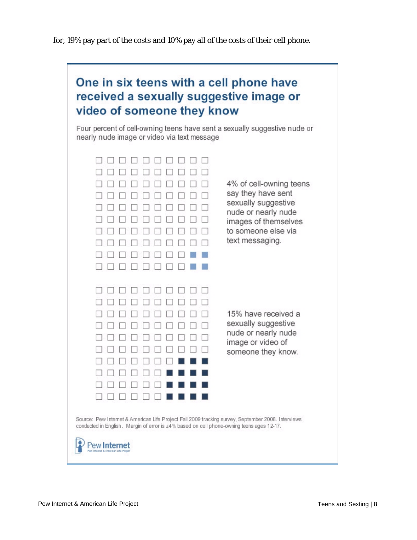## One in six teens with a cell phone have received a sexually suggestive image or video of someone they know

Four percent of cell-owning teens have sent a sexually suggestive nude or nearly nude image or video via text message

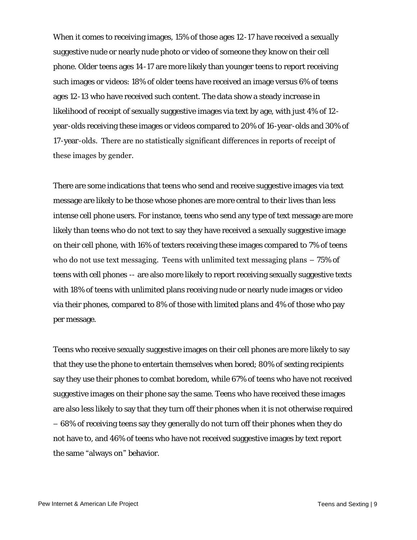When it comes to receiving images, 15% of those ages 12-17 have received a sexually suggestive nude or nearly nude photo or video of someone they know on their cell phone. Older teens ages 14-17 are more likely than younger teens to report receiving such images or videos: 18% of older teens have received an image versus 6% of teens ages 12-13 who have received such content. The data show a steady increase in likelihood of receipt of sexually suggestive images via text by age, with just 4% of 12 year-olds receiving these images or videos compared to 20% of 16-year-olds and 30% of 17-year-olds. There are no statistically significant differences in reports of receipt of these images by gender.

There are some indications that teens who send and receive suggestive images via text message are likely to be those whose phones are more central to their lives than less intense cell phone users. For instance, teens who send any type of text message are more likely than teens who do not text to say they have received a sexually suggestive image on their cell phone, with 16% of texters receiving these images compared to 7% of teens who do not use text messaging. Teens with unlimited text messaging plans – 75% of teens with cell phones -- are also more likely to report receiving sexually suggestive texts with 18% of teens with unlimited plans receiving nude or nearly nude images or video via their phones, compared to 8% of those with limited plans and 4% of those who pay per message.

Teens who receive sexually suggestive images on their cell phones are more likely to say that they use the phone to entertain themselves when bored; 80% of sexting recipients say they use their phones to combat boredom, while 67% of teens who have not received suggestive images on their phone say the same. Teens who have received these images are also less likely to say that they turn off their phones when it is not otherwise required – 68% of receiving teens say they generally do not turn off their phones when they do not have to, and 46% of teens who have not received suggestive images by text report the same "always on" behavior.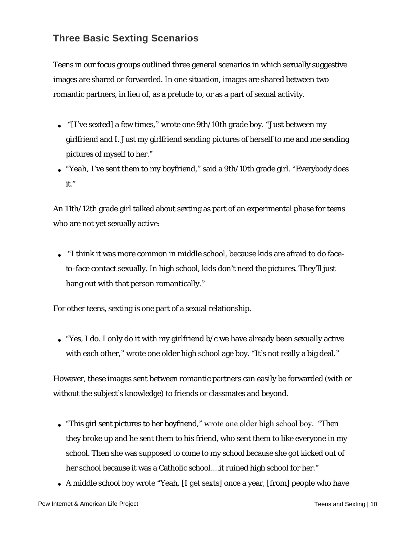### **Three Basic Sexting Scenarios**

Teens in our focus groups outlined three general scenarios in which sexually suggestive images are shared or forwarded. In one situation, images are shared between two romantic partners, in lieu of, as a prelude to, or as a part of sexual activity.

- "[I've sexted] a few times," wrote one 9th/10th grade boy. "Just between my girlfriend and I. Just my girlfriend sending pictures of herself to me and me sending pictures of myself to her."
- "Yeah, I've sent them to my boyfriend," said a 9th/10th grade girl. "Everybody does it."

An 11th/12th grade girl talked about sexting as part of an experimental phase for teens who are not yet sexually active:

<sup>l</sup> "I think it was more common in middle school, because kids are afraid to do faceto-face contact sexually. In high school, kids don't need the pictures. They'll just hang out with that person romantically."

For other teens, sexting is one part of a sexual relationship.

• "Yes, I do. I only do it with my girlfriend  $b/c$  we have already been sexually active with each other," wrote one older high school age boy. "It's not really a big deal."

However, these images sent between romantic partners can easily be forwarded (with or without the subject's knowledge) to friends or classmates and beyond.

- "This girl sent pictures to her boyfriend," wrote one older high school boy. "Then they broke up and he sent them to his friend, who sent them to like everyone in my school. Then she was supposed to come to my school because she got kicked out of her school because it was a Catholic school….it ruined high school for her."
- A middle school boy wrote "Yeah, [I get sexts] once a year, [from] people who have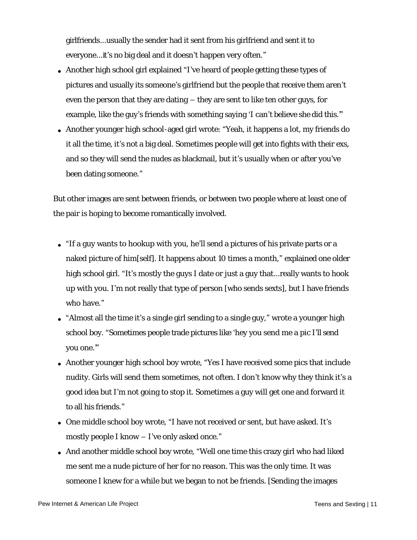girlfriends…usually the sender had it sent from his girlfriend and sent it to everyone...t is no big deal and it doesn't happen very often."

- Another high school girl explained "I've heard of people getting these types of pictures and usually its someone's girlfriend but the people that receive them aren't even the person that they are dating – they are sent to like ten other guys, for example, like the guy's friends with something saying 'I can't believe she did this."
- Another younger high school-aged girl wrote: "Yeah, it happens a lot, my friends do it all the time, it's not a big deal. Sometimes people will get into fights with their exs, and so they will send the nudes as blackmail, but it's usually when or after you've been dating someone."

But other images are sent between friends, or between two people where at least one of the pair is hoping to become romantically involved.

- <sup>l</sup> "If a guy wants to hookup with you, he'll send a pictures of his private parts or a naked picture of him[self]. It happens about 10 times a month," explained one older high school girl. "It's mostly the guys I date or just a guy that…really wants to hook up with you. I'm not really that type of person [who sends sexts], but I have friends who have."
- "Almost all the time it's a single girl sending to a single guy," wrote a younger high school boy. "Sometimes people trade pictures like 'hey you send me a pic I'll send you one.'"
- Another younger high school boy wrote, "Yes I have received some pics that include nudity. Girls will send them sometimes, not often. I don't know why they think it's a good idea but I'm not going to stop it. Sometimes a guy will get one and forward it to all his friends."
- One middle school boy wrote, "I have not received or sent, but have asked. It's mostly people I know – I've only asked once."
- <sup>l</sup> And another middle school boy wrote, "Well one time this crazy girl who had liked me sent me a nude picture of her for no reason. This was the only time. It was someone I knew for a while but we began to not be friends. [Sending the images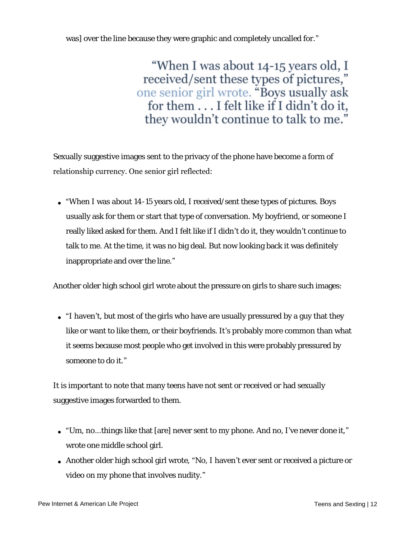was] over the line because they were graphic and completely uncalled for."

"When I was about 14-15 years old, I received/sent these types of pictures," one senior girl wrote. "Boys usually ask for them . . . I felt like if I didn't do it, they wouldn't continue to talk to me."

Sexually suggestive images sent to the privacy of the phone have become a form of relationship currency. One senior girl reflected:

• "When I was about 14-15 years old, I received/sent these types of pictures. Boys usually ask for them or start that type of conversation. My boyfriend, or someone I really liked asked for them. And I felt like if I didn't do it, they wouldn't continue to talk to me. At the time, it was no big deal. But now looking back it was definitely inappropriate and over the line."

Another older high school girl wrote about the pressure on girls to share such images:

 $\bullet$  "I haven't, but most of the girls who have are usually pressured by a guy that they like or want to like them, or their boyfriends. It's probably more common than what it seems because most people who get involved in this were probably pressured by someone to do it."

It is important to note that many teens have not sent or received or had sexually suggestive images forwarded to them.

- $\bullet$  "Um, no...things like that [are] never sent to my phone. And no, I've never done it," wrote one middle school girl.
- Another older high school girl wrote, "No, I haven't ever sent or received a picture or video on my phone that involves nudity."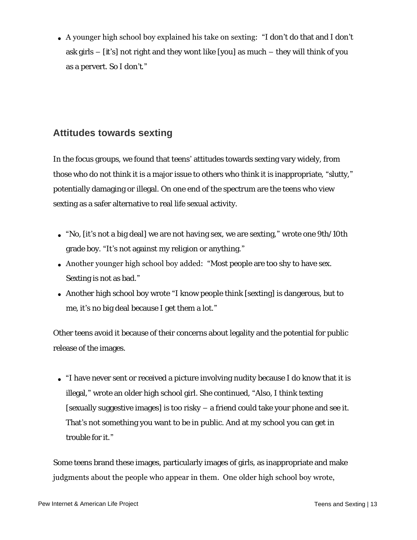• A younger high school boy explained his take on sexting: "I don't do that and I don't ask girls  $-$  [it's] not right and they wont like [you] as much  $-$  they will think of you as a pervert. So I don't."

### **Attitudes towards sexting**

In the focus groups, we found that teens' attitudes towards sexting vary widely, from those who do not think it is a major issue to others who think it is inappropriate, "slutty," potentially damaging or illegal. On one end of the spectrum are the teens who view sexting as a safer alternative to real life sexual activity.

- $\bullet$  "No, [it's not a big deal] we are not having sex, we are sexting," wrote one 9th/10th grade boy. "It's not against my religion or anything."
- Another younger high school boy added: "Most people are too shy to have sex. Sexting is not as bad."
- <sup>l</sup> Another high school boy wrote "I know people think [sexting] is dangerous, but to me, it's no big deal because I get them a lot."

Other teens avoid it because of their concerns about legality and the potential for public release of the images.

 $\bullet$  "I have never sent or received a picture involving nudity because I do know that it is illegal," wrote an older high school girl. She continued, "Also, I think texting [sexually suggestive images] is too risky – a friend could take your phone and see it. That's not something you want to be in public. And at my school you can get in trouble for it."

Some teens brand these images, particularly images of girls, as inappropriate and make judgments about the people who appear in them. One older high school boy wrote,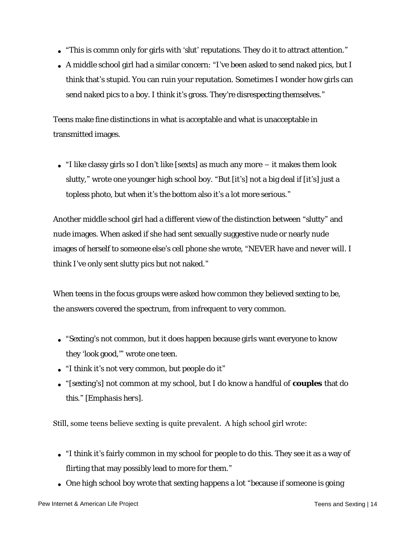- "This is commn only for girls with 'slut' reputations. They do it to attract attention."
- A middle school girl had a similar concern: "I've been asked to send naked pics, but I think that's stupid. You can ruin your reputation. Sometimes I wonder how girls can send naked pics to a boy. I think it's gross. They're disrespecting themselves."

Teens make fine distinctions in what is acceptable and what is unacceptable in transmitted images.

 $\bullet$  "I like classy girls so I don't like [sexts] as much any more – it makes them look slutty," wrote one younger high school boy. "But [it's] not a big deal if [it's] just a topless photo, but when it's the bottom also it's a lot more serious."

Another middle school girl had a different view of the distinction between "slutty" and nude images. When asked if she had sent sexually suggestive nude or nearly nude images of herself to someone else's cell phone she wrote, "NEVER have and never will. I think I've only sent slutty pics but not naked."

When teens in the focus groups were asked how common they believed sexting to be, the answers covered the spectrum, from infrequent to very common.

- "Sexting's not common, but it does happen because girls want everyone to know they 'look good,'" wrote one teen.
- $\bullet$  "I think it's not very common, but people do it"
- <sup>l</sup> "[sexting's] not common at my school, but I do know a handful of *couples* that do this." *[Emphasis hers].*

Still, some teens believe sexting is quite prevalent. A high school girl wrote:

- <sup>l</sup> "I think it's fairly common in my school for people to do this. They see it as a way of flirting that may possibly lead to more for them."
- One high school boy wrote that sexting happens a lot "because if someone is going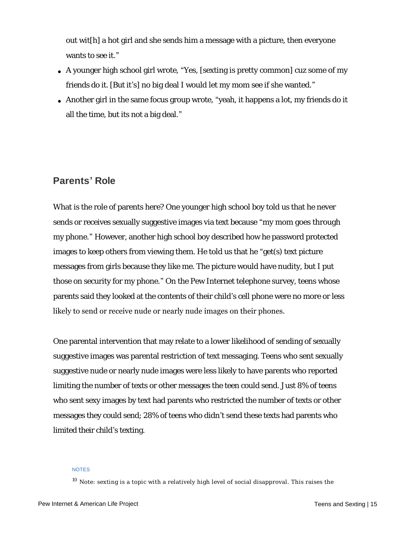out wit $[h]$  a hot girl and she sends him a message with a picture, then everyone wants to see it."

- <sup>l</sup> A younger high school girl wrote, "Yes, [sexting is pretty common] cuz some of my friends do it. [But it's] no big deal I would let my mom see if she wanted."
- Another girl in the same focus group wrote, "yeah, it happens a lot, my friends do it all the time, but its not a big deal."

### **Parents' Role**

What is the role of parents here? One younger high school boy told us that he never sends or receives sexually suggestive images via text because "my mom goes through my phone." However, another high school boy described how he password protected images to keep others from viewing them. He told us that he "get(s) text picture messages from girls because they like me. The picture would have nudity, but I put those on security for my phone." On the Pew Internet telephone survey, teens whose parents said they looked at the contents of their child's cell phone were no more or less likely to send or receive nude or nearly nude images on their phones.

One parental intervention that may relate to a lower likelihood of sending of sexually suggestive images was parental restriction of text messaging. Teens who sent sexually suggestive nude or nearly nude images were less likely to have parents who reported limiting the number of texts or other messages the teen could send. Just 8% of teens who sent sexy images by text had parents who restricted the number of texts or other messages they could send; 28% of teens who didn't send these texts had parents who limited their child's texting.

#### **NOTES**

<span id="page-14-0"></span> $^{10}$  Note: sexting is a topic with a relatively high level of social disapproval. This raises the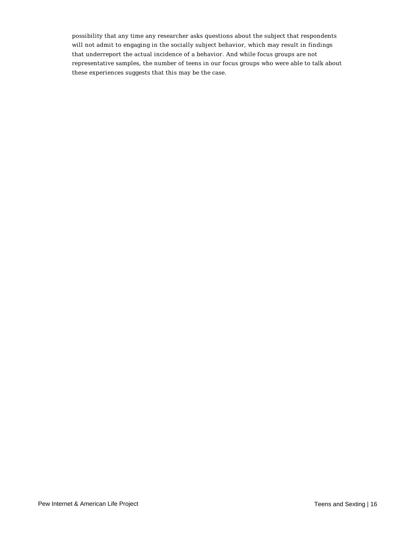possibility that any time any researcher asks questions about the subject that respondents will not admit to engaging in the socially subject behavior, which may result in findings that underreport the actual incidence of a behavior. And while focus groups are not representative samples, the number of teens in our focus groups who were able to talk about these experiences suggests that this may be the case.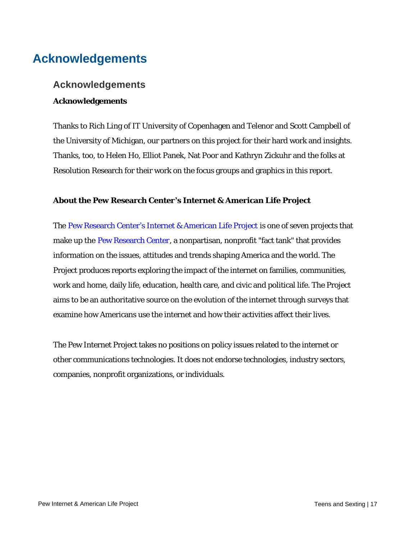## <span id="page-16-0"></span>**Acknowledgements**

## **Acknowledgements**

### **Acknowledgements**

Thanks to Rich Ling of IT University of Copenhagen and Telenor and Scott Campbell of the University of Michigan, our partners on this project for their hard work and insights. Thanks, too, to Helen Ho, Elliot Panek, Nat Poor and Kathryn Zickuhr and the folks at Resolution Research for their work on the focus groups and graphics in this report.

### **About the Pew Research Center's Internet & American Life Project**

The Pew Research Center'[s Internet & American Life Project](http://pewinternet.org/About-Us.aspx) is one of seven projects that make up the [Pew Research Center](http://pewresearch.org/), a nonpartisan, nonprofit "fact tank" that provides information on the issues, attitudes and trends shaping America and the world. The Project produces reports exploring the impact of the internet on families, communities, work and home, daily life, education, health care, and civic and political life. The Project aims to be an authoritative source on the evolution of the internet through surveys that examine how Americans use the internet and how their activities affect their lives.

The Pew Internet Project takes no positions on policy issues related to the internet or other communications technologies. It does not endorse technologies, industry sectors, companies, nonprofit organizations, or individuals.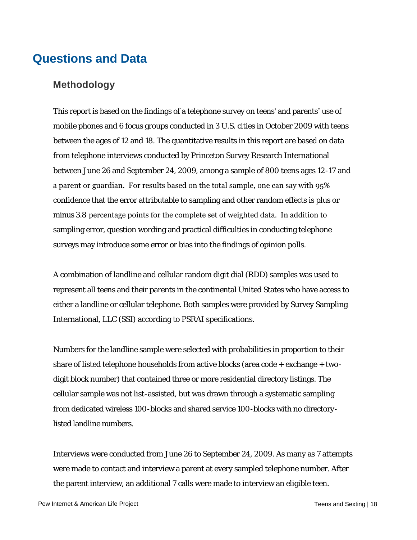## <span id="page-17-0"></span>**Questions and Data**

### **Methodology**

This report is based on the findings of a telephone survey on teens' and parents' use of mobile phones and 6 focus groups conducted in 3 U.S. cities in October 2009 with teens between the ages of 12 and 18. The quantitative results in this report are based on data from telephone interviews conducted by Princeton Survey Research International between June 26 and September 24, 2009, among a sample of 800 teens ages 12-17 and a parent or guardian. For results based on the total sample, one can say with 95% confidence that the error attributable to sampling and other random effects is plus or minus 3.8 percentage points for the complete set of weighted data. In addition to sampling error, question wording and practical difficulties in conducting telephone surveys may introduce some error or bias into the findings of opinion polls.

A combination of landline and cellular random digit dial (RDD) samples was used to represent all teens and their parents in the continental United States who have access to either a landline or cellular telephone. Both samples were provided by Survey Sampling International, LLC (SSI) according to PSRAI specifications.

Numbers for the landline sample were selected with probabilities in proportion to their share of listed telephone households from active blocks (area code + exchange + twodigit block number) that contained three or more residential directory listings. The cellular sample was not list-assisted, but was drawn through a systematic sampling from dedicated wireless 100-blocks and shared service 100-blocks with no directorylisted landline numbers.

Interviews were conducted from June 26 to September 24, 2009. As many as 7 attempts were made to contact and interview a parent at every sampled telephone number. After the parent interview, an additional 7 calls were made to interview an eligible teen.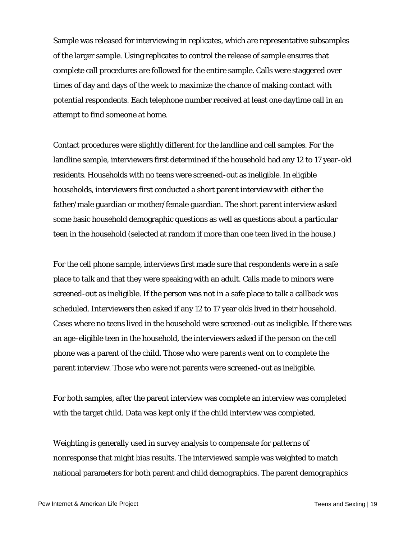Sample was released for interviewing in replicates, which are representative subsamples of the larger sample. Using replicates to control the release of sample ensures that complete call procedures are followed for the entire sample. Calls were staggered over times of day and days of the week to maximize the chance of making contact with potential respondents. Each telephone number received at least one daytime call in an attempt to find someone at home.

Contact procedures were slightly different for the landline and cell samples. For the landline sample, interviewers first determined if the household had any 12 to 17 year-old residents. Households with no teens were screened-out as ineligible. In eligible households, interviewers first conducted a short parent interview with either the father/male guardian or mother/female guardian. The short parent interview asked some basic household demographic questions as well as questions about a particular teen in the household (selected at random if more than one teen lived in the house.)

For the cell phone sample, interviews first made sure that respondents were in a safe place to talk and that they were speaking with an adult. Calls made to minors were screened-out as ineligible. If the person was not in a safe place to talk a callback was scheduled. Interviewers then asked if any 12 to 17 year olds lived in their household. Cases where no teens lived in the household were screened-out as ineligible. If there was an age-eligible teen in the household, the interviewers asked if the person on the cell phone was a parent of the child. Those who were parents went on to complete the parent interview. Those who were not parents were screened-out as ineligible.

For both samples, after the parent interview was complete an interview was completed with the target child. Data was kept only if the child interview was completed.

Weighting is generally used in survey analysis to compensate for patterns of nonresponse that might bias results. The interviewed sample was weighted to match national parameters for both parent and child demographics. The parent demographics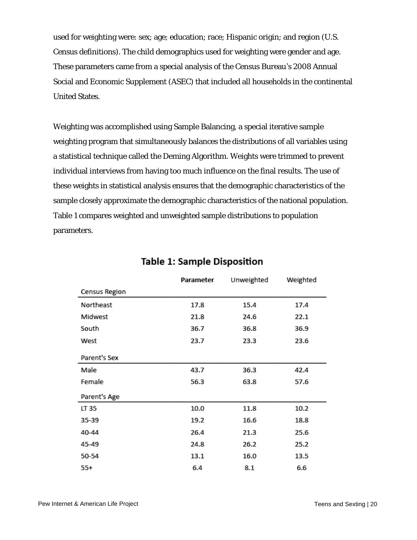used for weighting were: sex; age; education; race; Hispanic origin; and region (U.S. Census definitions). The child demographics used for weighting were gender and age. These parameters came from a special analysis of the Census Bureau's 2008 Annual Social and Economic Supplement (ASEC) that included all households in the continental United States.

Weighting was accomplished using Sample Balancing, a special iterative sample weighting program that simultaneously balances the distributions of all variables using a statistical technique called the Deming Algorithm. Weights were trimmed to prevent individual interviews from having too much influence on the final results. The use of these weights in statistical analysis ensures that the demographic characteristics of the sample closely approximate the demographic characteristics of the national population. Table 1 compares weighted and unweighted sample distributions to population parameters.

|               | Parameter    | Unweighted                           | Weighted |  |
|---------------|--------------|--------------------------------------|----------|--|
| Census Region |              |                                      |          |  |
| Northeast     | 17.8         | 15.4                                 | 17.4     |  |
| Midwest       | 21.8         | 24.6                                 | 22.1     |  |
| South         | 36.7         | 36.8                                 |          |  |
| West          | 23.7<br>23.3 |                                      | 23.6     |  |
| Parent's Sex  |              |                                      |          |  |
| Male          | 43.7         | 36.3                                 | 42.4     |  |
| Female        | 56.3         | 63.8                                 | 57.6     |  |
| Parent's Age  |              |                                      |          |  |
| LT 35         | 10.0         | 11.8                                 | 10.2     |  |
| 35-39         | 19.2         | 16.6                                 | 18.8     |  |
| 40-44         | 26.4         | 21.3                                 | 25.6     |  |
| 45-49         | 24.8         | 25.2<br>26.2<br>13.1<br>16.0<br>13.5 |          |  |
| 50-54         |              |                                      |          |  |
| $55+$         | 6.4          | 8.1                                  | 6.6      |  |

### **Table 1: Sample Disposition**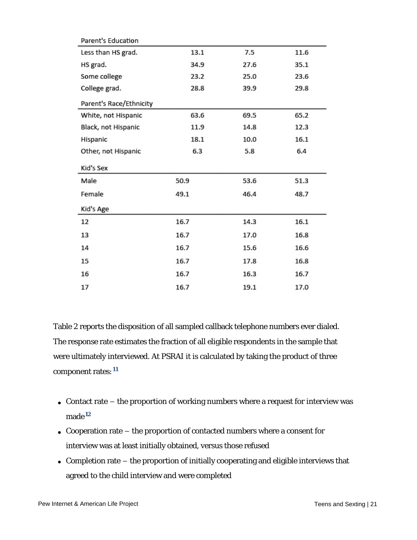| Parent's Education      |      |      |      |
|-------------------------|------|------|------|
| Less than HS grad.      | 13.1 | 7.5  | 11.6 |
| HS grad.                | 34.9 | 27.6 | 35.1 |
| Some college            | 23.2 | 25.0 | 23.6 |
| College grad.           | 28.8 | 39.9 | 29.8 |
| Parent's Race/Ethnicity |      |      |      |
| White, not Hispanic     | 63.6 | 69.5 | 65.2 |
| Black, not Hispanic     | 11.9 | 14.8 | 12.3 |
| Hispanic                | 18.1 | 10.0 | 16.1 |
| Other, not Hispanic     | 6.3  | 5.8  | 6.4  |
| Kid's Sex               |      |      |      |
| Male                    | 50.9 | 53.6 | 51.3 |
| Female                  | 49.1 | 46.4 | 48.7 |
| Kid's Age               |      |      |      |
| 12                      | 16.7 | 14.3 | 16.1 |
| 13                      | 16.7 | 17.0 | 16.8 |
| 14                      | 16.7 | 15.6 | 16.6 |
| 15                      | 16.7 | 17.8 | 16.8 |
| 16                      | 16.7 | 16.3 | 16.7 |
| 17                      | 16.7 | 19.1 | 17.0 |

Table 2 reports the disposition of all sampled callback telephone numbers ever dialed. The response rate estimates the fraction of all eligible respondents in the sample that were ultimately interviewed. At PSRAI it is calculated by taking the product of three component rates:**[11](#page-25-0)**

- Contact rate the proportion of working numbers where a request for interview was made**[12](#page-25-1)**
- Cooperation rate the proportion of contacted numbers where a consent for interview was at least initially obtained, versus those refused
- $\bullet$  Completion rate the proportion of initially cooperating and eligible interviews that agreed to the child interview and were completed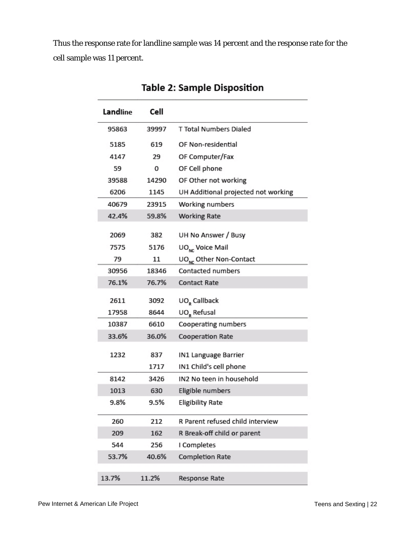Thus the response rate for landline sample was 14 percent and the response rate for the cell sample was 11 percent.

| Landline | Cell  |                                     |
|----------|-------|-------------------------------------|
| 95863    | 39997 | <b>T Total Numbers Dialed</b>       |
| 5185     | 619   | OF Non-residential                  |
| 4147     | 29    | OF Computer/Fax                     |
| 59       | 0     | OF Cell phone                       |
| 39588    | 14290 | OF Other not working                |
| 6206     | 1145  | UH Additional projected not working |
| 40679    | 23915 | Working numbers                     |
| 42.4%    | 59.8% | <b>Working Rate</b>                 |
|          |       |                                     |
| 2069     | 382   | UH No Answer / Busy                 |
| 7575     | 5176  | UO <sub>NC</sub> Voice Mail         |
| 79       | 11    | UO <sub>NC</sub> Other Non-Contact  |
| 30956    | 18346 | Contacted numbers                   |
| 76.1%    | 76.7% | <b>Contact Rate</b>                 |
| 2611     | 3092  | UO <sub>R</sub> Callback            |
| 17958    | 8644  | UO <sub>R</sub> Refusal             |
| 10387    | 6610  | Cooperating numbers                 |
| 33.6%    | 36.0% | Cooperation Rate                    |
| 1232     | 837   | IN1 Language Barrier                |
|          | 1717  | IN1 Child's cell phone              |
| 8142     | 3426  | IN2 No teen in household            |
| 1013     | 630   | Eligible numbers                    |
| 9.8%     | 9.5%  | <b>Eligibility Rate</b>             |
|          |       |                                     |
| 260      | 212   | R Parent refused child interview    |
| 209      | 162   | R Break-off child or parent         |
| 544      | 256   | I Completes                         |
| 53.7%    | 40.6% | <b>Completion Rate</b>              |
|          |       |                                     |
| 13.7%    | 11.2% | Response Rate                       |

## **Table 2: Sample Disposition**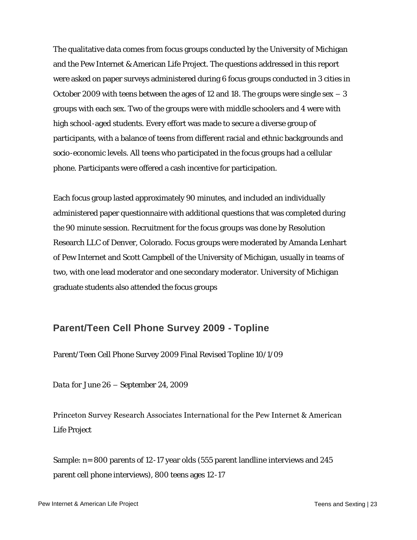The qualitative data comes from focus groups conducted by the University of Michigan and the Pew Internet & American Life Project. The questions addressed in this report were asked on paper surveys administered during 6 focus groups conducted in 3 cities in October 2009 with teens between the ages of 12 and 18. The groups were single sex – 3 groups with each sex. Two of the groups were with middle schoolers and 4 were with high school-aged students. Every effort was made to secure a diverse group of participants, with a balance of teens from different racial and ethnic backgrounds and socio-economic levels. All teens who participated in the focus groups had a cellular phone. Participants were offered a cash incentive for participation.

Each focus group lasted approximately 90 minutes, and included an individually administered paper questionnaire with additional questions that was completed during the 90 minute session. Recruitment for the focus groups was done by Resolution Research LLC of Denver, Colorado. Focus groups were moderated by Amanda Lenhart of Pew Internet and Scott Campbell of the University of Michigan, usually in teams of two, with one lead moderator and one secondary moderator. University of Michigan graduate students also attended the focus groups

### **Parent/Teen Cell Phone Survey 2009 - Topline**

Parent/Teen Cell Phone Survey 2009 Final Revised Topline 10/1/09

*Data for June 26 – September 24, 2009* 

Princeton Survey Research Associates International for the Pew Internet & American Life Project

Sample: n= 800 parents of 12-17 year olds (555 parent landline interviews and 245 parent cell phone interviews), 800 teens ages 12-17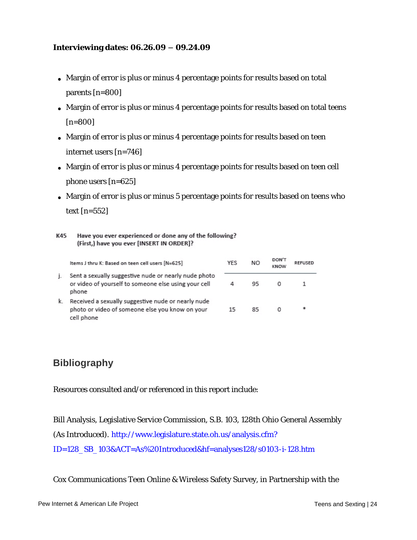#### **Interviewing dates: 06.26.09 – 09.24.09**

- Margin of error is plus or minus 4 percentage points for results based on total parents [n=800]
- Margin of error is plus or minus 4 percentage points for results based on total teens [n=800]
- Margin of error is plus or minus 4 percentage points for results based on teen internet users [n=746]
- Margin of error is plus or minus 4 percentage points for results based on teen cell phone users [n=625]
- Margin of error is plus or minus 5 percentage points for results based on teens who text [n=552]
- Have you ever experienced or done any of the following? K45 (First,) have you ever [INSERT IN ORDER]?

|    | Items J thru K: Based on teen cell users [N=625]                                                                      | YES | NO. | DON'T<br><b>KNOW</b> | <b>REFUSED</b> |
|----|-----------------------------------------------------------------------------------------------------------------------|-----|-----|----------------------|----------------|
|    | Sent a sexually suggestive nude or nearly nude photo<br>or video of yourself to someone else using your cell<br>phone |     | 95  |                      |                |
| k. | Received a sexually suggestive nude or nearly nude<br>photo or video of someone else you know on your<br>cell phone   | 15  | 85  | 0                    |                |

### **Bibliography**

Resources consulted and/or referenced in this report include:

Bill Analysis, Legislative Service Commission, S.B. 103, 128th Ohio General Assembly

(As Introduced). http://www.legislature.state.oh.us/analysis.cfm?

[ID=128\\_SB\\_103&ACT=As%20Introduced&hf=analyses128/s0103-i-128.htm](http://www.legislature.state.oh.us/analysis.cfm?ID=128_SB_103&ACT=As%20Introduced&hf=analyses128/s0103-i-128.htm)

Cox Communications Teen Online & Wireless Safety Survey, in Partnership with the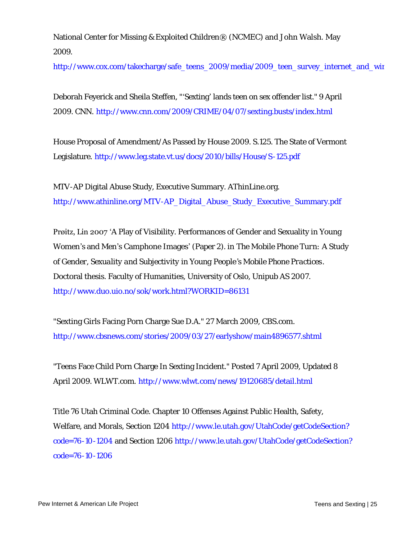National Center for Missing & Exploited Children® (NCMEC) and John Walsh. May 2009.

http://www.cox.com/takecharge/safe\_teens\_2009/media/2009\_teen\_survey\_internet\_and\_wir

Deborah Feyerick and Sheila Steffen, "'Sexting' lands teen on sex offender list." 9 April 2009. CNN. <http://www.cnn.com/2009/CRIME/04/07/sexting.busts/index.html>

House Proposal of Amendment/As Passed by House 2009. S.125. The State of Vermont Legislature. <http://www.leg.state.vt.us/docs/2010/bills/House/S-125.pdf>

MTV-AP Digital Abuse Study, Executive Summary. AThinLine.org. [http://www.athinline.org/MTV-AP\\_Digital\\_Abuse\\_Study\\_Executive\\_Summary.pdf](http://www.athinline.org/MTV-AP_Digital_Abuse_Study_Executive_Summary.pdf)

Prøitz, Lin 2007 'A Play of Visibility. Performances of Gender and Sexuality in Young Women's and Men's Camphone Images' (Paper 2). in *The Mobile Phone Turn: A Study of Gender, Sexuality and Subjectivity in Young People's Mobile Phone Practices*. [Doctoral thesis. Faculty of Humanities, University of Oslo,](http://www.duo.uio.no/sok/work.html?WORKID=86131) Unipub AS 2007. http://www.duo.uio.no/sok/work.html?WORKID=86131

"Sexting Girls Facing Porn Charge Sue D.A." 27 March 2009, CBS.com. <http://www.cbsnews.com/stories/2009/03/27/earlyshow/main4896577.shtml>

"Teens Face Child Porn Charge In Sexting Incident." Posted 7 April 2009, Updated 8 April 2009. WLWT.com. <http://www.wlwt.com/news/19120685/detail.html>

Title 76 Utah Criminal Code. Chapter 10 Offenses Against Public Health, Safety, Welfare, and Morals, Section 1204 http://www.le.utah.gov/UtahCode/getCodeSection? [code=76-10-1204 and Section 1206 http://www.le.utah.gov/UtahCode/getCodeSection](http://www.le.utah.gov/UtahCode/getCodeSection?code=76-10-1204)[?](http://www.le.utah.gov/UtahCode/getCodeSection?code=76-10-1206) code=76-10-1206